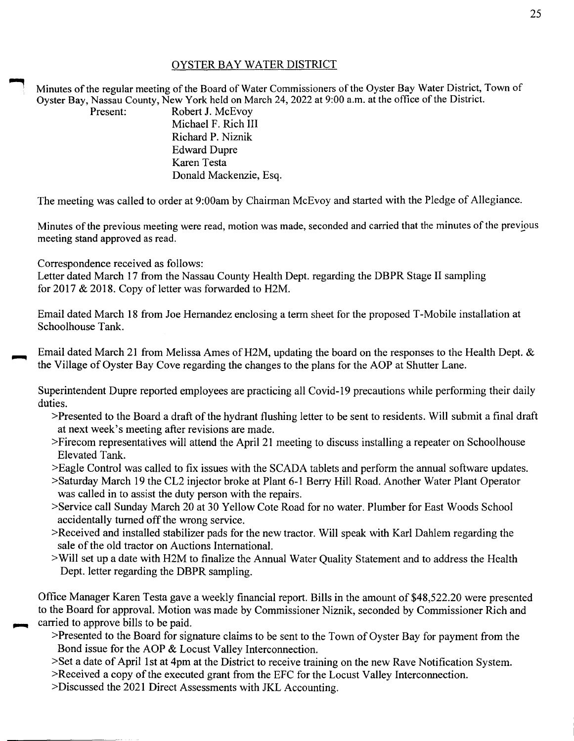## OYSTER BAY WATER DISTRICT

Minutes of the regular meeting of the Board of Water Commissioners of the Oyster Bay Water District, Town of Oyster Bay, Nassau County, New York held on March 24, 2022 at 9:00a.m. at the office of the District.

Present: Robert J. McEvov Michael F. Rich III Richard P. Niznik Edward Dupre Karen Testa Donald Mackenzie, Esq.

The meeting was called to order at 9:00am by Chairman McEvoy and started with the Pledge of Allegiance.

Minutes of the previous meeting were read, motion was made, seconded and carried that the minutes of the previous meeting stand approved as read.

Correspondence received as follows:

Letter dated March 17 from the Nassau County Health Dept. regarding the DBPR Stage II sampling for 2017 & 2018. Copy of letter was forwarded to H2M.

Email dated March 18 from Joe Hernandez enclosing a term sheet for the proposed T-Mobile installation at Schoolhouse Tank.

Email dated March 21 from Melissa Ames of H2M, updating the board on the responses to the Health Dept. & the Village of Oyster Bay Cove regarding the changes to the plans for the AOP at Shutter Lane.

Superintendent Dupre reported employees are practicing all Covid-19 precautions while performing their daily duties.

- >Presented to the Board a draft of the hydrant flushing letter to be sent to residents. Will submit a final draft at next week's meeting after revisions are made.
- >Firecom representatives will attend the April21 meeting to discuss installing a repeater on Schoolhouse Elevated Tank.
- >Eagle Control was called to fix issues with the SCADA tablets and perform the annual software updates.
- >Saturday March 19 the CL2 injector broke at Plant 6-1 Berry Hill Road. Another Water Plant Operator was called in to assist the duty person with the repairs.
- >Service call Sunday March 20 at 30 Yellow Cote Road for no water. Plumber for East Woods School accidentally turned off the wrong service.
- >Received and installed stabilizer pads for the new tractor. Will speak with Karl Dahlem regarding the sale of the old tractor on Auctions International.
- >Will set up a date with H2M to finalize the Annual Water Quality Statement and to address the Health Dept. letter regarding the DBPR sampling.

Office Manager Karen Testa gave a weekly financial report. Bills in the amount of \$48,522.20 were presented to the Board for approval. Motion was made by Commissioner Niznik, seconded by Commissioner Rich and carried to approve bills to be paid.

- >Presented to the Board for signature claims to be sent to the Town of Oyster Bay for payment from the Bond issue for the AOP & Locust Valley Interconnection.
- >Set a date of April 1st at 4pm at the District to receive training on the new Rave Notification System.

>Received a copy of the executed grant from the EFC for the Locust Valley Interconnection.

>Discussed the 2021 Direct Assessments with JKL Accounting.